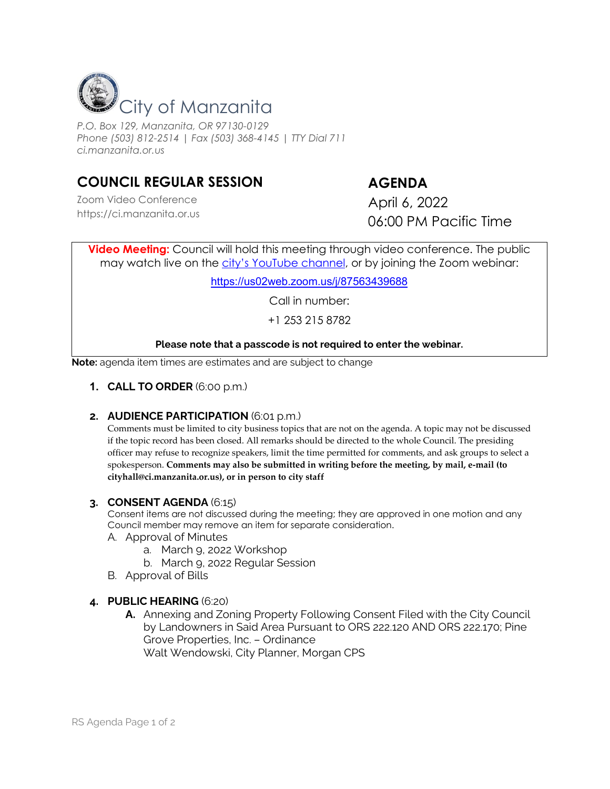

*P.O. Box 129, Manzanita, OR 97130-0129 Phone (503) 812-2514 | Fax (503) 368-4145 | TTY Dial 711 ci.manzanita.or.us*

# **COUNCIL REGULAR SESSION AGENDA**

Zoom Video Conference https://ci.manzanita.or.us

April 6, 2022 06:00 PM Pacific Time

**Video Meeting:** Council will hold this meeting through video conference. The public may watch live on the [city's YouTube channel,](https://www.youtube.com/channel/UCqOUJoCppNX-QMMEftJDvIA/featured) or by joining the Zoom webinar:

<https://us02web.zoom.us/j/87563439688>

Call in number:

+1 253 215 8782

### **Please note that a passcode is not required to enter the webinar.**

**Note:** agenda item times are estimates and are subject to change

**1. CALL TO ORDER** (6:00 p.m.)

### **2. AUDIENCE PARTICIPATION** (6:01 p.m.)

Comments must be limited to city business topics that are not on the agenda. A topic may not be discussed if the topic record has been closed. All remarks should be directed to the whole Council. The presiding officer may refuse to recognize speakers, limit the time permitted for comments, and ask groups to select a spokesperson. **Comments may also be submitted in writing before the meeting, by mail, e-mail (to cityhall@ci.manzanita.or.us), or in person to city staff**

#### **3. CONSENT AGENDA** (6:15)

Consent items are not discussed during the meeting; they are approved in one motion and any Council member may remove an item for separate consideration.

A. Approval of Minutes

- a. March 9, 2022 Workshop
- b. March 9, 2022 Regular Session
- B. Approval of Bills

### **4. PUBLIC HEARING** (6:20)

**A.** Annexing and Zoning Property Following Consent Filed with the City Council by Landowners in Said Area Pursuant to ORS 222.120 AND ORS 222.170; Pine Grove Properties, Inc. – Ordinance Walt Wendowski, City Planner, Morgan CPS